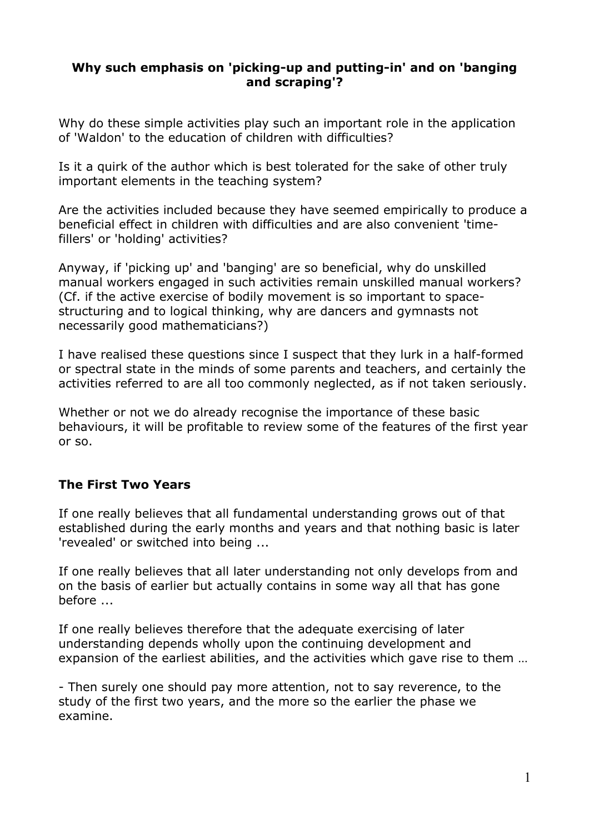#### **Why such emphasis on 'picking-up and putting-in' and on 'banging and scraping'?**

Why do these simple activities play such an important role in the application of 'Waldon' to the education of children with difficulties?

Is it a quirk of the author which is best tolerated for the sake of other truly important elements in the teaching system?

Are the activities included because they have seemed empirically to produce a beneficial effect in children with difficulties and are also convenient 'timefillers' or 'holding' activities?

Anyway, if 'picking up' and 'banging' are so beneficial, why do unskilled manual workers engaged in such activities remain unskilled manual workers? (Cf. if the active exercise of bodily movement is so important to spacestructuring and to logical thinking, why are dancers and gymnasts not necessarily good mathematicians?)

I have realised these questions since I suspect that they lurk in a half-formed or spectral state in the minds of some parents and teachers, and certainly the activities referred to are all too commonly neglected, as if not taken seriously.

Whether or not we do already recognise the importance of these basic behaviours, it will be profitable to review some of the features of the first year or so.

## **The First Two Years**

If one really believes that all fundamental understanding grows out of that established during the early months and years and that nothing basic is later 'revealed' or switched into being ...

If one really believes that all later understanding not only develops from and on the basis of earlier but actually contains in some way all that has gone before ...

If one really believes therefore that the adequate exercising of later understanding depends wholly upon the continuing development and expansion of the earliest abilities, and the activities which gave rise to them …

- Then surely one should pay more attention, not to say reverence, to the study of the first two years, and the more so the earlier the phase we examine.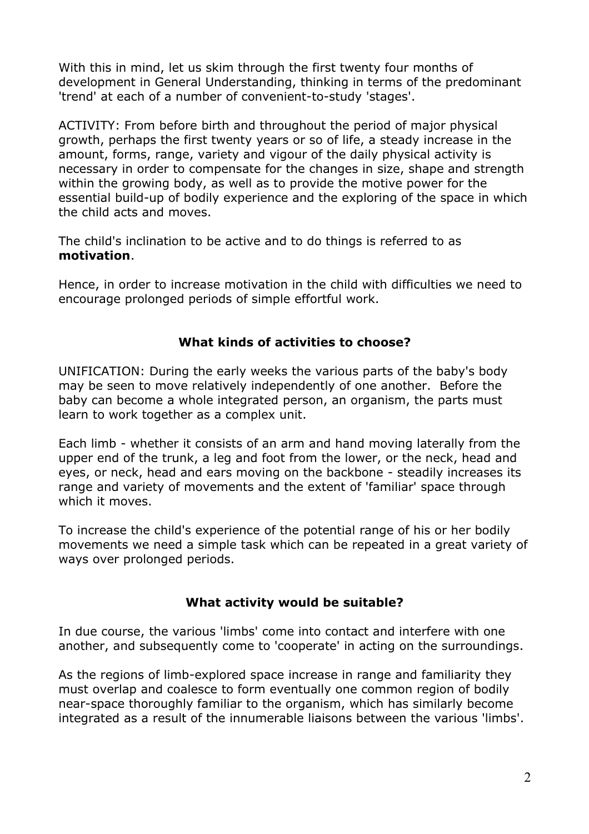With this in mind, let us skim through the first twenty four months of development in General Understanding, thinking in terms of the predominant 'trend' at each of a number of convenient-to-study 'stages'.

ACTIVITY: From before birth and throughout the period of major physical growth, perhaps the first twenty years or so of life, a steady increase in the amount, forms, range, variety and vigour of the daily physical activity is necessary in order to compensate for the changes in size, shape and strength within the growing body, as well as to provide the motive power for the essential build-up of bodily experience and the exploring of the space in which the child acts and moves.

The child's inclination to be active and to do things is referred to as **motivation**.

Hence, in order to increase motivation in the child with difficulties we need to encourage prolonged periods of simple effortful work.

# **What kinds of activities to choose?**

UNIFICATION: During the early weeks the various parts of the baby's body may be seen to move relatively independently of one another. Before the baby can become a whole integrated person, an organism, the parts must learn to work together as a complex unit.

Each limb - whether it consists of an arm and hand moving laterally from the upper end of the trunk, a leg and foot from the lower, or the neck, head and eyes, or neck, head and ears moving on the backbone - steadily increases its range and variety of movements and the extent of 'familiar' space through which it moves.

To increase the child's experience of the potential range of his or her bodily movements we need a simple task which can be repeated in a great variety of ways over prolonged periods.

## **What activity would be suitable?**

In due course, the various 'limbs' come into contact and interfere with one another, and subsequently come to 'cooperate' in acting on the surroundings.

As the regions of limb-explored space increase in range and familiarity they must overlap and coalesce to form eventually one common region of bodily near-space thoroughly familiar to the organism, which has similarly become integrated as a result of the innumerable liaisons between the various 'limbs'.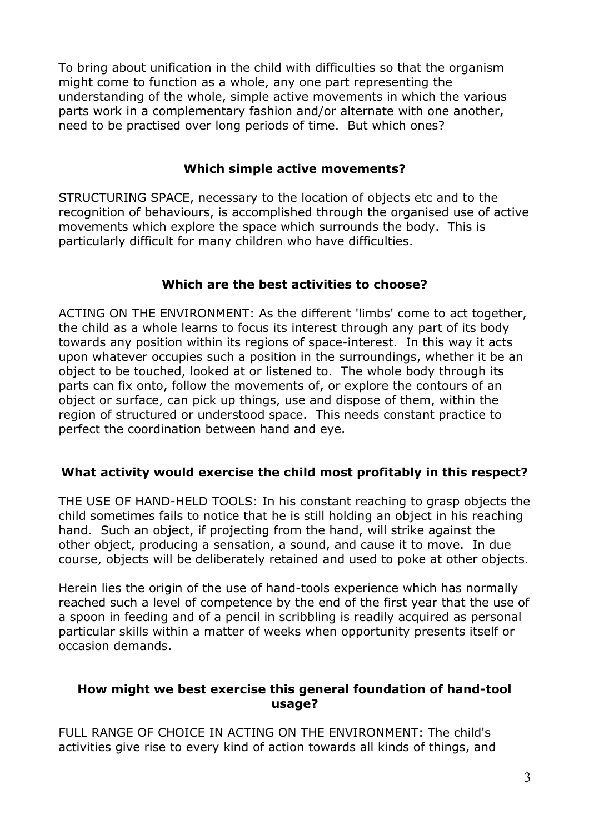To bring about unification in the child with difficulties so that the organism might come to function as a whole, any one part representing the understanding of the whole, simple active movements in which the various parts work in a complementary fashion and/or alternate with one another, need to be practised over long periods of time. But which ones?

### **Which simple active movements?**

STRUCTURING SPACE, necessary to the location of objects etc and to the recognition of behaviours, is accomplished through the organised use of active movements which explore the space which surrounds the body. This is particularly difficult for many children who have difficulties.

## **Which are the best activities to choose?**

ACTING ON THE ENVIRONMENT: As the different 'limbs' come to act together, the child as a whole learns to focus its interest through any part of its body towards any position within its regions of space-interest. In this way it acts upon whatever occupies such a position in the surroundings, whether it be an object to be touched, looked at or listened to. The whole body through its parts can fix onto, follow the movements of, or explore the contours of an object or surface, can pick up things, use and dispose of them, within the region of structured or understood space. This needs constant practice to perfect the coordination between hand and eye.

## **What activity would exercise the child most profitably in this respect?**

THE USE OF HAND-HELD TOOLS: In his constant reaching to grasp objects the child sometimes fails to notice that he is still holding an object in his reaching hand. Such an object, if projecting from the hand, will strike against the other object, producing a sensation, a sound, and cause it to move. In due course, objects will be deliberately retained and used to poke at other objects.

Herein lies the origin of the use of hand-tools experience which has normally reached such a level of competence by the end of the first year that the use of a spoon in feeding and of a pencil in scribbling is readily acquired as personal particular skills within a matter of weeks when opportunity presents itself or occasion demands.

#### **How might we best exercise this general foundation of hand-tool usage?**

FULL RANGE OF CHOICE IN ACTING ON THE ENVIRONMENT: The child's activities give rise to every kind of action towards all kinds of things, and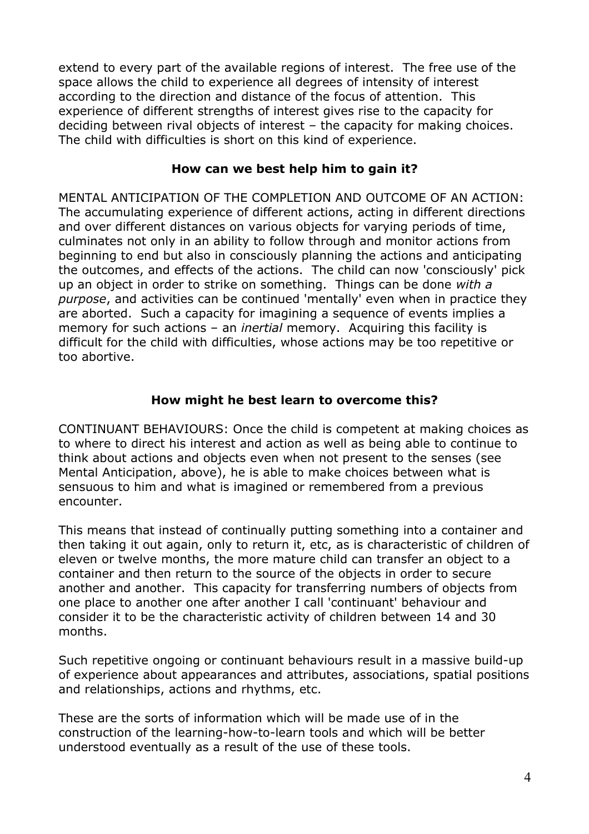extend to every part of the available regions of interest. The free use of the space allows the child to experience all degrees of intensity of interest according to the direction and distance of the focus of attention. This experience of different strengths of interest gives rise to the capacity for deciding between rival objects of interest – the capacity for making choices. The child with difficulties is short on this kind of experience.

#### **How can we best help him to gain it?**

MENTAL ANTICIPATION OF THE COMPLETION AND OUTCOME OF AN ACTION: The accumulating experience of different actions, acting in different directions and over different distances on various objects for varying periods of time, culminates not only in an ability to follow through and monitor actions from beginning to end but also in consciously planning the actions and anticipating the outcomes, and effects of the actions. The child can now 'consciously' pick up an object in order to strike on something. Things can be done *with a purpose*, and activities can be continued 'mentally' even when in practice they are aborted. Such a capacity for imagining a sequence of events implies a memory for such actions – an *inertial* memory. Acquiring this facility is difficult for the child with difficulties, whose actions may be too repetitive or too abortive.

#### **How might he best learn to overcome this?**

CONTINUANT BEHAVIOURS: Once the child is competent at making choices as to where to direct his interest and action as well as being able to continue to think about actions and objects even when not present to the senses (see Mental Anticipation, above), he is able to make choices between what is sensuous to him and what is imagined or remembered from a previous encounter.

This means that instead of continually putting something into a container and then taking it out again, only to return it, etc, as is characteristic of children of eleven or twelve months, the more mature child can transfer an object to a container and then return to the source of the objects in order to secure another and another. This capacity for transferring numbers of objects from one place to another one after another I call 'continuant' behaviour and consider it to be the characteristic activity of children between 14 and 30 months.

Such repetitive ongoing or continuant behaviours result in a massive build-up of experience about appearances and attributes, associations, spatial positions and relationships, actions and rhythms, etc.

These are the sorts of information which will be made use of in the construction of the learning-how-to-learn tools and which will be better understood eventually as a result of the use of these tools.